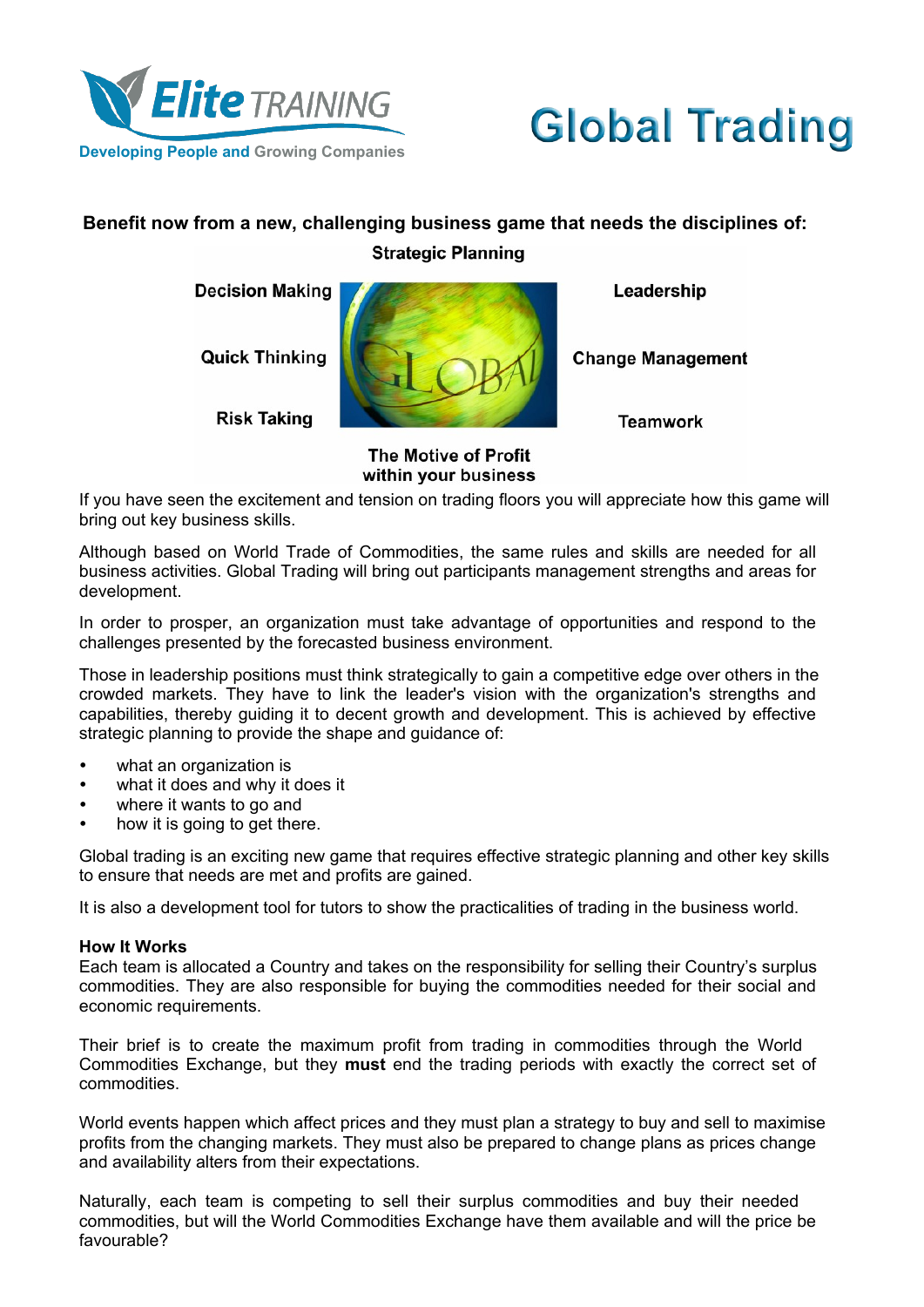



# **Benefit now from a new, challenging business game that needs the disciplines of: Strategic Planning**

**Decision Making** 

**Quick Thinking** 

**Risk Taking** 



Leadership

**Change Management** 

**Teamwork** 

**The Motive of Profit** within your business

If you have seen the excitement and tension on trading floors you will appreciate how this game will bring out key business skills.

Although based on World Trade of Commodities, the same rules and skills are needed for all business activities. Global Trading will bring out participants management strengths and areas for development.

In order to prosper, an organization must take advantage of opportunities and respond to the challenges presented by the forecasted business environment.

Those in leadership positions must think strategically to gain a competitive edge over others in the crowded markets. They have to link the leader's vision with the organization's strengths and capabilities, thereby guiding it to decent growth and development. This is achieved by effective strategic planning to provide the shape and guidance of:

- what an organization is
- what it does and why it does it
- where it wants to go and
- how it is going to get there.

Global trading is an exciting new game that requires effective strategic planning and other key skills to ensure that needs are met and profits are gained.

It is also a development tool for tutors to show the practicalities of trading in the business world.

### **How It Works**

Each team is allocated a Country and takes on the responsibility for selling their Country's surplus commodities. They are also responsible for buying the commodities needed for their social and economic requirements.

Their brief is to create the maximum profit from trading in commodities through the World Commodities Exchange, but they **must** end the trading periods with exactly the correct set of commodities.

World events happen which affect prices and they must plan a strategy to buy and sell to maximise profits from the changing markets. They must also be prepared to change plans as prices change and availability alters from their expectations.

Naturally, each team is competing to sell their surplus commodities and buy their needed commodities, but will the World Commodities Exchange have them available and will the price be favourable?